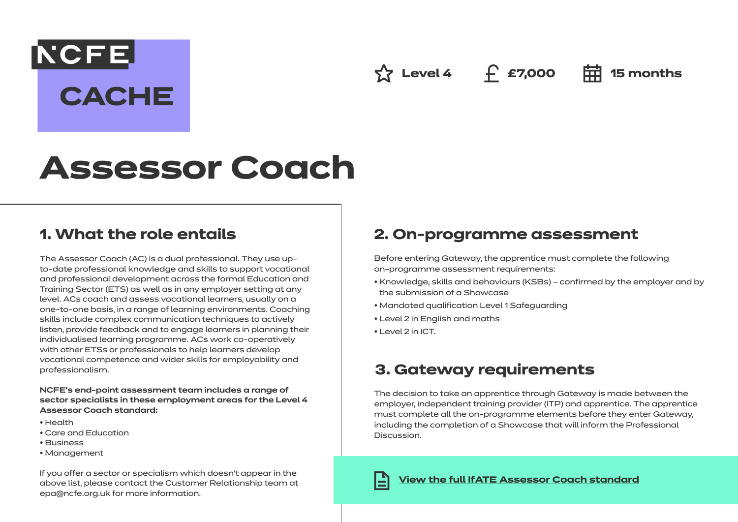## **NCFE**

**CACHE** 

**△ Level 4** ← £7,000 **中 15 months** 

# **Assessor Coach**

## **1. What the role entails**

The Assessor Coach (AC) is a dual professional. They use upto-date professional knowledge and skills to support vocational and professional development across the formal Education and Training Sector (ETS) as well as in any employer setting at any level. ACs coach and assess vocational learners, usually on a one-to-one basis, in a range of learning environments. Coaching skills include complex communication techniques to actively listen, provide feedback and to engage learners in planning their individualised learning programme. ACs work co-operatively with other ETSs or professionals to help learners develop vocational competence and wider skills for employability and professionalism.

#### **NCFE's end-point assessment team includes a range of sector specialists in these employment areas for the Level 4 Assessor Coach standard:**

- Health
- Care and Education
- Business
- Management

If you offer a sector or specialism which doesn't appear in the above list, please contact the Customer Relationship team at epa@ncfe.org.uk for more information.

## **2. On-programme assessment**

Before entering Gateway, the apprentice must complete the following on-programme assessment requirements:

- Knowledge, skills and behaviours (KSBs) confirmed by the employer and by the submission of a Showcase
- Mandated qualification Level 1 Safeguarding
- Level 2 in English and maths
- Level 2 in ICT.

## **3. Gateway requirements**

The decision to take an apprentice through Gateway is made between the employer, independent training provider (ITP) and apprentice. The apprentice must complete all the on-programme elements before they enter Gateway, including the completion of a Showcase that will inform the Professional Discussion.

**[View the full IfATE Assessor Coach standard](https://www.instituteforapprenticeships.org/apprenticeship-standards/assessor-coach/)**